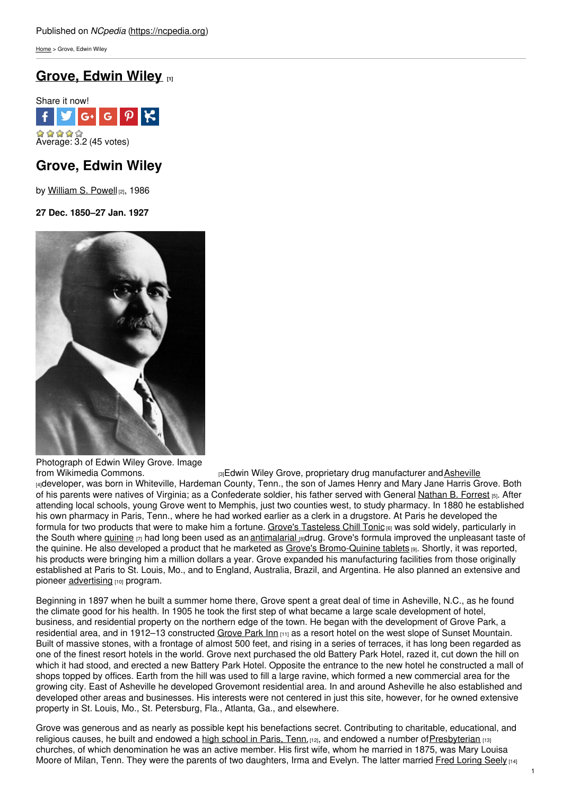[Home](https://ncpedia.org/) > Grove, Edwin Wiley

# **[Grove,](https://ncpedia.org/biography/grove-edwin-wiley) Edwin Wiley [1]**



## **Grove, Edwin Wiley**

by [William](https://ncpedia.org/biography/powell-william) S. Powell [2], 1986

**27 Dec. 1850–27 Jan. 1927**



Photograph of Edwin Wiley Grove. Image<br>from Wikimedia Commons.

[3] Edwin Wiley Grove, proprietary drug manufacturer and [Asheville](https://ncpedia.org/asheville)

[4]developer, was born in Whiteville, Hardeman County, Tenn., the son of James Henry and Mary Jane Harris Grove. Both of his parents were natives of Virginia; as a Confederate soldier, his father served with General [Nathan](http://en.wikisource.org/wiki/Interview_with_Nathan_Bedford_Forrest) B. Forrest [5]. After attending local schools, young Grove went to Memphis, just two counties west, to study pharmacy. In 1880 he established his own pharmacy in Paris, Tenn., where he had worked earlier as a clerk in a drugstore. At Paris he developed the formula for two products that were to make him a fortune. Grove's [Tasteless](http://www.grovearcade.com/groves-tasteless-chill-tonic/) Chill Tonic <sub>[6]</sub> was sold widely, particularly in the South where *[quinine](http://www.nlm.nih.gov/medlineplus/druginfo/meds/a682322.html)* [7] had long been used as an *[antimalarial](https://ncpedia.org/malaria)* [8]drug. Grove's formula improved the unpleasant taste of the quinine. He also developed a product that he marketed as Grove's [Bromo-Quinine](http://library.duke.edu/digitalcollections/oaaaarchives_AAA8252/) tablets [9]. Shortly, it was reported, his products were bringing him a million dollars a year. Grove expanded his manufacturing facilities from those originally established at Paris to St. Louis, Mo., and to England, Australia, Brazil, and Argentina. He also planned an extensive and pioneer [advertising](https://ncpedia.org/advertising) [10] program.

Beginning in 1897 when he built a summer home there, Grove spent a great deal of time in Asheville, N.C., as he found the climate good for his health. In 1905 he took the first step of what became a large scale development of hotel, business, and residential property on the northern edge of the town. He began with the development of Grove Park, a residential area, and in 1912–13 constructed [Grove](https://ncpedia.org/grove-park-inn) Park Inn [11] as a resort hotel on the west slope of Sunset Mountain. Built of massive stones, with a frontage of almost 500 feet, and rising in a series of terraces, it has long been regarded as one of the finest resort hotels in the world. Grove next purchased the old Battery Park Hotel, razed it, cut down the hill on which it had stood, and erected a new Battery Park Hotel. Opposite the entrance to the new hotel he constructed a mall of shops topped by offices. Earth from the hill was used to fill a large ravine, which formed a new commercial area for the growing city. East of Asheville he developed Grovemont residential area. In and around Asheville he also established and developed other areas and businesses. His interests were not centered in just this site, however, for he owned extensive property in St. Louis, Mo., St. Petersburg, Fla., Atlanta, Ga., and elsewhere.

Grove was generous and as nearly as possible kept his benefactions secret. Contributing to charitable, educational, and religious causes, he built and endowed a high [school](http://www.ewgrove.com/) in Paris, Tenn. [12], and endowed a number of [Presbyterian](https://ncpedia.org/presbyterian-church) [13] churches, of which denomination he was an active member. His first wife, whom he married in 1875, was Mary Louisa Moore of Milan, Tenn. They were the parents of two daughters, Irma and Evelyn. The latter married Fred [Loring](https://ncpedia.org/biography/seely-fred-loring) Seely  $141$